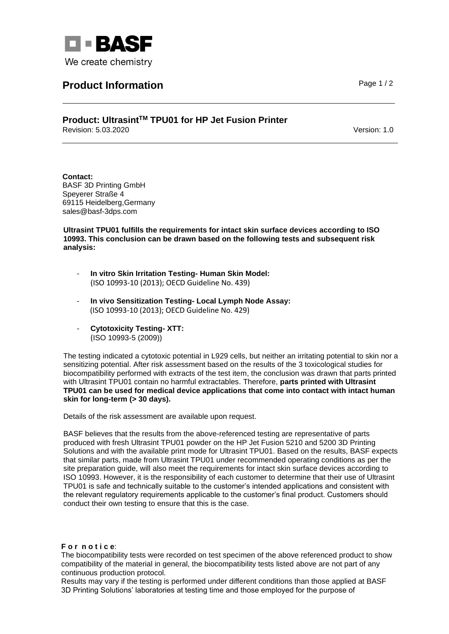

## **Product Information Product Information**

## **Product: UltrasintTM TPU01 for HP Jet Fusion Printer** Revision: 5.03.2020 Version: 1.0

**Contact:** BASF 3D Printing GmbH Speyerer Straße 4 69115 Heidelberg,Germany sales@basf-3dps.com

**Ultrasint TPU01 fulfills the requirements for intact skin surface devices according to ISO 10993. This conclusion can be drawn based on the following tests and subsequent risk analysis:** 

- **In vitro Skin Irritation Testing- Human Skin Model:** (ISO 10993-10 (2013); OECD Guideline No. 439)
- **In vivo Sensitization Testing- Local Lymph Node Assay:** (ISO 10993-10 (2013); OECD Guideline No. 429)
- **Cytotoxicity Testing- XTT:** (ISO 10993-5 (2009))

The testing indicated a cytotoxic potential in L929 cells, but neither an irritating potential to skin nor a sensitizing potential. After risk assessment based on the results of the 3 toxicological studies for biocompatibility performed with extracts of the test item, the conclusion was drawn that parts printed with Ultrasint TPU01 contain no harmful extractables. Therefore, **parts printed with Ultrasint TPU01 can be used for medical device applications that come into contact with intact human skin for long-term (> 30 days).**

Details of the risk assessment are available upon request.

BASF believes that the results from the above-referenced testing are representative of parts produced with fresh Ultrasint TPU01 powder on the HP Jet Fusion 5210 and 5200 3D Printing Solutions and with the available print mode for Ultrasint TPU01. Based on the results, BASF expects that similar parts, made from Ultrasint TPU01 under recommended operating conditions as per the site preparation guide, will also meet the requirements for intact skin surface devices according to ISO 10993. However, it is the responsibility of each customer to determine that their use of Ultrasint TPU01 is safe and technically suitable to the customer's intended applications and consistent with the relevant regulatory requirements applicable to the customer's final product. Customers should conduct their own testing to ensure that this is the case.

## **F o r n o t i c e**:

The biocompatibility tests were recorded on test specimen of the above referenced product to show compatibility of the material in general, the biocompatibility tests listed above are not part of any continuous production protocol.

Results may vary if the testing is performed under different conditions than those applied at BASF 3D Printing Solutions' laboratories at testing time and those employed for the purpose of